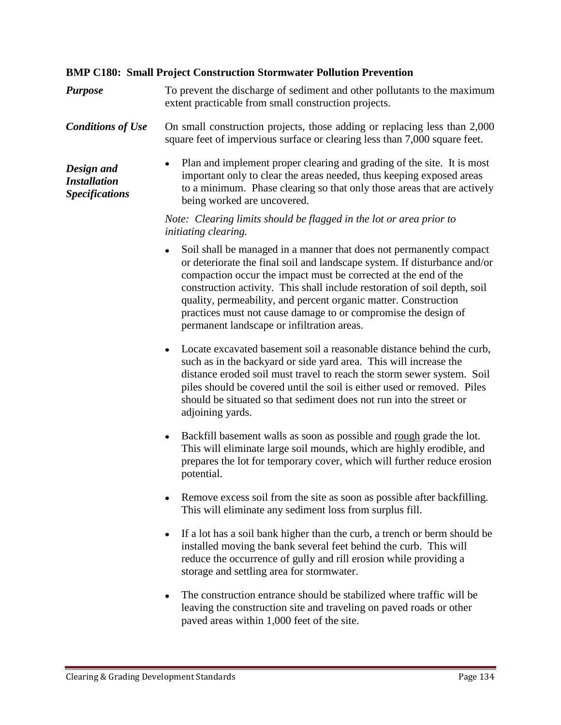## **BMP C180: Small Project Construction Stormwater Pollution Prevention**

*Purpose* To prevent the discharge of sediment and other pollutants to the maximum extent practicable from small construction projects.

**Conditions of Use** On small construction projects, those adding or replacing less than 2,000 square feet of impervious surface or clearing less than 7,000 square feet.

*Design and Installation Specifications* Plan and implement proper clearing and grading of the site. It is most important only to clear the areas needed, thus keeping exposed areas to a minimum. Phase clearing so that only those areas that are actively being worked are uncovered.

## *Note: Clearing limits should be flagged in the lot or area prior to initiating clearing.*

- Soil shall be managed in a manner that does not permanently compact  $\bullet$ or deteriorate the final soil and landscape system. If disturbance and/or compaction occur the impact must be corrected at the end of the construction activity. This shall include restoration of soil depth, soil quality, permeability, and percent organic matter. Construction practices must not cause damage to or compromise the design of permanent landscape or infiltration areas.
- Locate excavated basement soil a reasonable distance behind the curb, such as in the backyard or side yard area. This will increase the distance eroded soil must travel to reach the storm sewer system. Soil piles should be covered until the soil is either used or removed. Piles should be situated so that sediment does not run into the street or adjoining yards.
- Backfill basement walls as soon as possible and rough grade the lot. This will eliminate large soil mounds, which are highly erodible, and prepares the lot for temporary cover, which will further reduce erosion potential.
- Remove excess soil from the site as soon as possible after backfilling. This will eliminate any sediment loss from surplus fill.
- If a lot has a soil bank higher than the curb, a trench or berm should be installed moving the bank several feet behind the curb. This will reduce the occurrence of gully and rill erosion while providing a storage and settling area for stormwater.
- The construction entrance should be stabilized where traffic will be leaving the construction site and traveling on paved roads or other paved areas within 1,000 feet of the site.